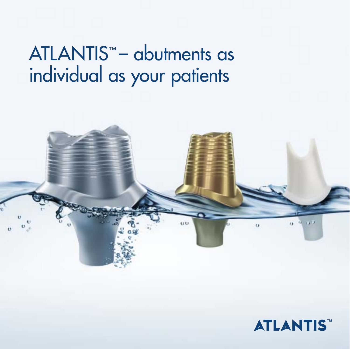## ATLANTIS<sup>™</sup> - abutments as individual as your patients



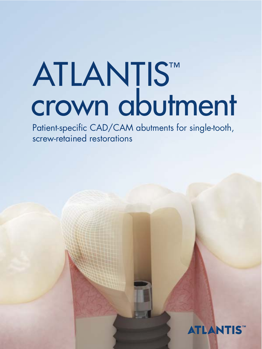# ATLANTISTM<br>Crown abutment

Patient-specific CAD/CAM abutments for single-tooth, screw-retained restorations

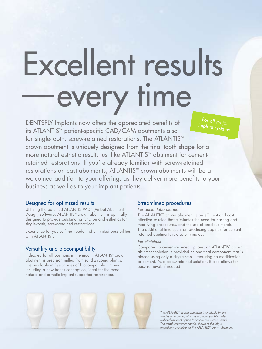## Excellent results —every time

DENTSPLY Implants now offers the appreciated benefits of its ATLANTIS™ patient-specific CAD/CAM abutments also for single-tooth, screw-retained restorations. The ATLANTIS™ crown abutment is uniquely designed from the final tooth shape for a more natural esthetic result, just like ATLANTIS™ abutment for cementretained restorations. If you're already familiar with screw-retained restorations on cast abutments, ATLANTIS™ crown abutments will be a welcomed addition to your offering, as they deliver more benefits to your business as well as to your implant patients. For all major implant systems

#### Designed for optimized results

Utilizing the patented ATLANTIS VAD™ (Virtual Abutment Design) software, ATLANTIS™ crown abutment is optimally designed to provide outstanding function and esthetics for single-tooth, screw-retained restorations.

Experience for yourself the freedom of unlimited possibilities with ATLANTIS™.

#### Versatility and biocompatibility

Indicated for all positions in the mouth, ATLANTIS™ crown abutment is precision milled from solid zirconia blanks. It is available in five shades of biocompatible zirconia, including a new translucent option, ideal for the most natural and esthetic implant-supported restorations.

#### Streamlined procedures

#### For dental laboratories

The ATLANTIS™ crown abutment is an efficient and cost effective solution that eliminates the need for casting and modifying procedures, and the use of precious metals. The additional time spent on producing copings for cementretained abutments is also eliminated.

#### For clinicians

Compared to cement-retained options, an ATLANTIS™ crown abutment solution is provided as one final component that is placed using only a single step—requiring no modification or cement. As a screw-retained solution, it also allows for easy retrieval, if needed.



The ATLANTIS™ crown abutment is available in five shades of zirconia, which is a biocompatible material and an ideal option for optimized esthetic results. The translucent white shade, shown to the left, is exclusively available for the ATLANTIS™ crown abutment.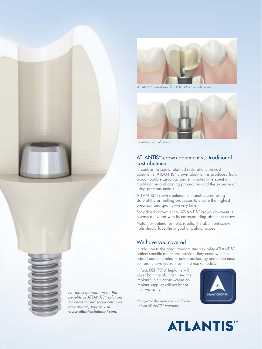

ATLANTIS™ patient-specific CAD/CAM crown abutment



Traditional cast abutment

#### ATLANTIS™ crown abutment vs. traditional cast abutment

In contrast to screw-retained restorations on cast abutments, ATLANTIS™ crown abutment is produced from biocompatible zirconia, and eliminates time spent on modification and casting procedures and the expense of using precious metals.

ATLANTIS™ crown abutment is manufactured using state-of-the-art milling processes to ensure the highest precision and quality—every time.

For added convenience, ATLANTIS™ crown abutment is always delivered with its corresponding abutment screw.

Note: For optimal esthetic results, the abutment screw hole should face the lingual or palatal aspect.

#### We have you covered

In addition to the great freedom and flexibility ATLANTIS™ patient-specific abutments provide, they come with the added peace of mind of being backed by one of the most comprehensive warranties in the market today.

In fact, DENTSPLY Implants will cover both the abutment and the implant\* in situations where an implant supplier will not honor their warranty.





**ATLANTIS** 



For more information on the benefits of ATLANTIS™ solutions for cement- and screw-retained restorations, please visit www.atlantisabutment.com.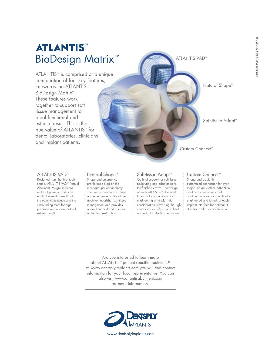### **ATLANTIS** BioDesign Matrix™

ATLANTIS™ is comprised of a unique combination of four key features, known as the ATLANTIS BioDesign Matrix™. These features work together to support soft tissue management for ideal functional and esthetic result. This is the true value of ATLANTIS™ for dental laboratories, clinicians and implant patients.

ATLANTIS VAD™

Natural Shape™

Soft-tissue Adapt™

Custom Connect™

#### ATLANTIS VAD™

Designed from the final tooth shape. ATLANTIS VAD<sup>™</sup> (Virtual Abutment Design) software makes it possible to design each abutment in relation to the edentulous space and the surrounding teeth for high precision and a more natural esthetic result.

#### Natural Shape™

Shape and emergence profile are based on the individual patient anatomy. The unique anatomical shape and emergence profile of the abutment nourishes soft tissue management and provides optimal support and retention of the final restoration.

#### Soft-tissue Adapt™

Optimal support for soft-tissue sculpturing and adaptation to the finished crown. The design of each ATLANTIS™ abutment takes biology, anatomy and engineering principles into consideration, providing the right conditions for soft tissue to heal and adapt to the finished crown.

#### Custom Connect<sup>™</sup>

Strong and stable fit customized connection for every major implant system. ATLANTIS™ abutment connections and abutment screws are specifically engineered and tested for each implant interface for optimal fit, stability, and a successful result.

Are you interested to learn more about ATLANTIS™ patient-specific abutments? At www.dentsplyimplants.com you will find contact information for your local representative. You can also visit www.atlantisabutment.com for more information.

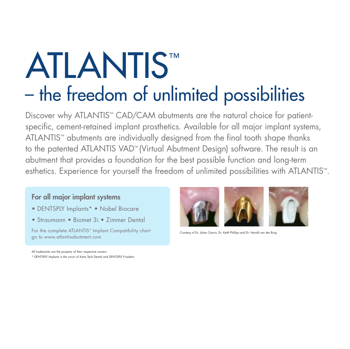## – the freedom of unlimited possibilities ATLANTIS™

Discover why ATLANTIS<sup>™</sup> CAD/CAM abutments are the natural choice for patientspecific, cement-retained implant prosthetics. Available for all major implant systems, ATLANTIS™ abutments are individually designed from the final tooth shape thanks to the patented ATLANTIS VAD™ (Virtual Abutment Design) software. The result is an abutment that provides a foundation for the best possible function and long-term esthetics. Experience for yourself the freedom of unlimited possibilities with ATLANTIS™.

#### For all major implant systems

- DENTSPLY Implants\* Nobel Biocare
- Straumann Biomet 3i Zimmer Dental

For the complete ATLANTIS<sup>™</sup> Implant Compatibility chart go to www.atlantisabutment.com



Courtesy of Dr. Julian Osorio, Dr. Keith Phillips and Dr. Harold van der Bura

All trademarks are the property of their respective owners. \* DENTSPLY Implants is the union of Astra Tech Dental and DENTSPLY Friadent.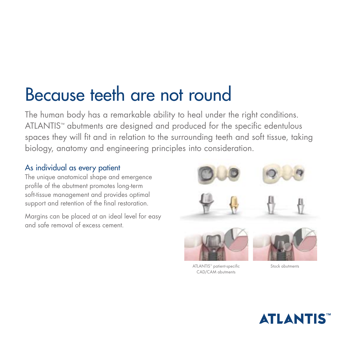## Because teeth are not round

The human body has a remarkable ability to heal under the right conditions. ATLANTIS™ abutments are designed and produced for the specific edentulous spaces they will fit and in relation to the surrounding teeth and soft tissue, taking biology, anatomy and engineering principles into consideration.

#### As individual as every patient

The unique anatomical shape and emergence profile of the abutment promotes long-term soft-tissue management and provides optimal support and retention of the final restoration.

Margins can be placed at an ideal level for easy and safe removal of excess cement.



ATLANTIS™ patient-specific <a>
Stock abutments</a> CAD/CAM abutments

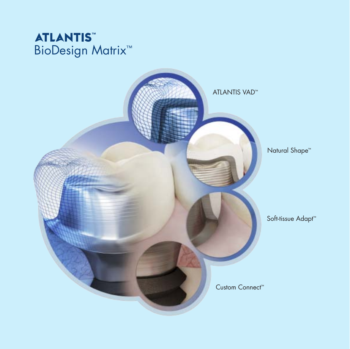#### **ATLANTIS™** BioDesign Matrix<sup>™</sup>

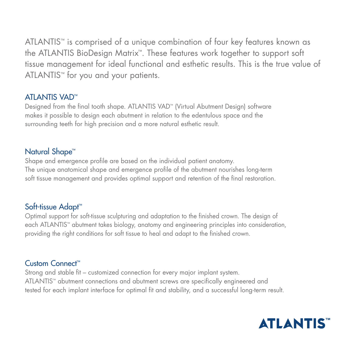ATLANTIS™ is comprised of a unique combination of four key features known as the ATLANTIS BioDesign Matrix<sup>™</sup>. These features work together to support soft tissue management for ideal functional and esthetic results. This is the true value of ATLANTIS™ for you and your patients.

#### **ATI ANTIS VAD™**

Designed from the final tooth shape. ATLANTIS VAD™ (Virtual Abutment Design) software makes it possible to design each abutment in relation to the edentulous space and the surrounding teeth for high precision and a more natural esthetic result.

#### Natural Shape<sup>™</sup>

Shape and emergence profile are based on the individual patient anatomy. The unique anatomical shape and emergence profile of the abutment nourishes long-term soft tissue management and provides optimal support and retention of the final restoration.

#### Soft-tissue Adapt™

Optimal support for soft-tissue sculpturing and adaptation to the finished crown. The design of each ATLANTIS<sup>™</sup> abutment takes biology, anatomy and engineering principles into consideration, providing the right conditions for soft tissue to heal and adapt to the finished crown.

#### Custom Connect™

Strong and stable fit – customized connection for every major implant system. ATLANTIS™ abutment connections and abutment screws are specifically engineered and tested for each implant interface for optimal fit and stability, and a successful long-term result.

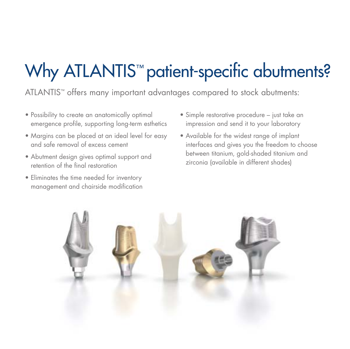## Why ATLANTIS<sup>™</sup> patient-specific abutments?

ATLANTIS™ offers many important advantages compared to stock abutments:

- Possibility to create an anatomically optimal emergence profile, supporting long-term esthetics
- Margins can be placed at an ideal level for easy and safe removal of excess cement
- Abutment design gives optimal support and retention of the final restoration
- Eliminates the time needed for inventory management and chairside modification
- Simple restorative procedure just take an impression and send it to your laboratory
- Available for the widest range of implant interfaces and gives you the freedom to choose between titanium, gold-shaded titanium and zirconia (available in different shades)

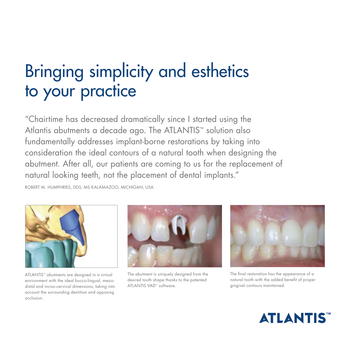## Bringing simplicity and esthetics to your practice

"Chairtime has decreased dramatically since I started using the Atlantis abutments a decade ago. The ATLANTIS™ solution also fundamentally addresses implant-borne restorations by taking into consideration the ideal contours of a natural tooth when designing the abutment. After all, our patients are coming to us for the replacement of natural looking teeth, not the placement of dental implants."

ROBERT M. HUMPHRIES, DDS, MS KALAMAZOO, MICHIGAN, USA



ATLANTIS™ abutments are designed in a virtual environment with the ideal bucco-lingual, mesiodistal and inciso-cervical dimensions, taking into account the surrounding dentition and opposing occlusion.



The abutment is uniquely designed from the desired tooth shape thanks to the patented ATLANTIS VAD™ software.



The final restoration has the appearance of a natural tooth with the added benefit of proper gingival contours maintained.

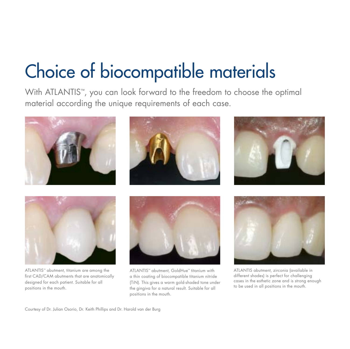## Choice of biocompatible materials

With ATLANTIS™, you can look forward to the freedom to choose the optimal material according the unique requirements of each case.









ATLANTIS™ abutment, titanium are among the first CAD/CAM abutments that are anatomically designed for each patient. Suitable for all positions in the mouth.



ATLANTIS™ abutment, GoldHue™ titanium with a thin coating of biocompatible titanium nitride (TiN). This gives a warm gold-shaded tone under the gingiva for a natural result. Suitable for all positions in the mouth.



ATLANTIS abutment, zirconia (available in different shades) is perfect for challenging cases in the esthetic zone and is strong enough to be used in all positions in the mouth.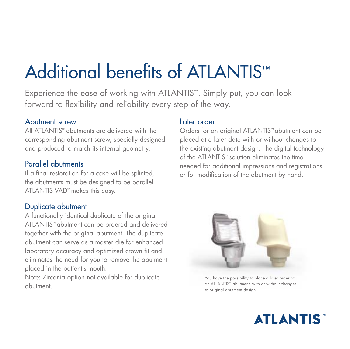## Additional benefits of ATLANTIS<sup>™</sup>

Experience the ease of working with ATLANTIS™. Simply put, you can look forward to flexibility and reliability every step of the way.

#### Abutment screw

All ATLANTIS™ abutments are delivered with the corresponding abutment screw, specially designed and produced to match its internal geometry.

#### Parallel abutments

If a final restoration for a case will be splinted, the abutments must be designed to be parallel. ATLANTIS VAD™ makes this easy.

#### Duplicate abutment

A functionally identical duplicate of the original ATLANTIS™ abutment can be ordered and delivered together with the original abutment. The duplicate abutment can serve as a master die for enhanced laboratory accuracy and optimized crown fit and eliminates the need for you to remove the abutment placed in the patient's mouth.

Note: Zirconia option not available for duplicate abutment.

#### Later order

Orders for an original ATLANTIS™ abutment can be placed at a later date with or without changes to the existing abutment design. The digital technology of the ATLANTIS™ solution eliminates the time needed for additional impressions and registrations or for modification of the abutment by hand.



You have the possibility to place a later order of an ATLANTIS™ abutment, with or without changes to original abutment design.

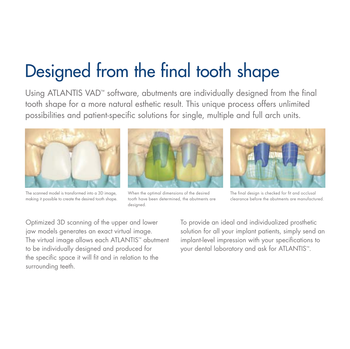## Designed from the final tooth shape

Using ATLANTIS VAD™ software, abutments are individually designed from the final tooth shape for a more natural esthetic result. This unique process offers unlimited possibilities and patient-specific solutions for single, multiple and full arch units.



The scanned model is transformed into a 3D image. making it possible to create the desired tooth shape.



When the optimal dimensions of the desired tooth have been determined, the abutments are

desianed.



The final design is checked for fit and occlusal clearance before the abutments are manufactured.

Optimized 3D scanning of the upper and lower jaw models generates an exact virtual image. The virtual image allows each ATLANTIS™ abutment to be individually designed and produced for the specific space it will fit and in relation to the surrounding teeth.

To provide an ideal and individualized prosthetic solution for all your implant patients, simply send an implant-level impression with your specifications to your dental laboratory and ask for ATLANTIS™.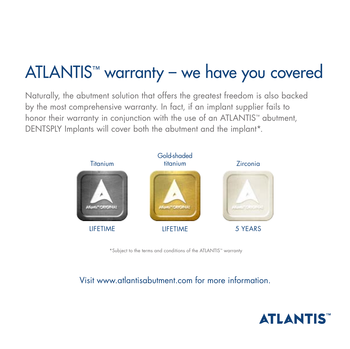## ATLANTIS<sup>™</sup> warranty - we have you covered

Naturally, the abutment solution that offers the greatest freedom is also backed by the most comprehensive warranty. In fact, if an implant supplier fails to honor their warranty in conjunction with the use of an ATLANTIS<sup>™</sup> abutment, DENTSPLY Implants will cover both the abutment and the implant\*.



\*Subject to the terms and conditions of the ATLANTIS<sup>\*\*</sup> warranty

#### Visit www.atlantisabutment.com for more information.

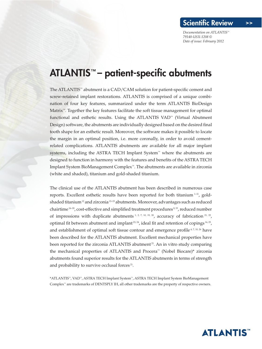#### ATLANTIS™ – patient-specific abutments

The ATLANTIS™ abutment is a  $CAD/CAM$  solution for patient-specific cement and screw-retained implant restorations. ATLANTIS is comprised of a unique combination of four key features, summarized under the term ATLANTIS BioDesign Matrix<sup>™</sup>. Together the key features facilitate the soft tissue management for optimal functional and esthetic results. Using the ATLANTIS VAD™ (Virtual Abutment Design) software, the abutments are individually designed based on the desired final tooth shape for an esthetic result. Moreover, the software makes it possible to locate the margin in an optimal position, i.e. more coronally, in order to avoid cementrelated complications. ATLANTIS abutments are available for all major implant systems, including the ASTRA TECH Implant System™ where the abutments are designed to function in harmony with the features and benefits of the ASTRA TECH Implant System BioManagement Complex™. The abutments are available in zirconia (white and shaded), titanium and gold-shaded titanium.

The clinical use of the ATLANTIS abutment has been described in numerous case reports. Excellent esthetic results have been reported for both titanium <sup>1-11</sup>, goldshaded titanium<sup>12</sup> and zirconia<sup>13-15</sup> abutments. Moreover, advantages such as reduced chairtime  $16-18$ , cost-effective and simplified treatment procedures  $8,19$ , reduced number of impressions with duplicate abutments  $1, 2, 7, 10, 19, 20$ , accuracy of fabrication  $21, 22$ , optimal fit between abutment and implant<sup>23, 24</sup>, ideal fit and retention of copings  $16, 25$ , and establishment of optimal soft tissue contour and emergence profile<sup>4, 7, 10, 26</sup> have been described for the ATLANTIS abutment. Excellent mechanical properties have been reported for the zirconia ATLANTIS abutment<sup>21</sup>. An in vitro study comparing the mechanical properties of ATLANTIS and Procera™ (Nobel Biocare)\* zirconia abutments found superior results for the ATLANTIS abutments in terms of strength and probability to survive occlusal forces<sup>21</sup>.

\*ATLANTIS™, VAD™, ASTRA TECH Implant System™, ASTRA TECH Implant System BioManagement Complex™ are trademarks of DENTSPLY IH, all other trademarks are the property of respective owners.

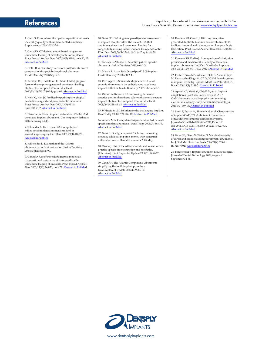#### References

#### Reprints can be ordered from references marked with ID No. To read more Scientific Reviews please see: [www.dentsplyimplants.com](http://www.dentsplyimplants.com)

1. Ganz S. Computer-milled patient-specific abutments: incredibly quality with unprecedented simplicity. Implantology 2003 2003:37-44.

2. Ganz SD. CT-derived model-based surgery for immediate loading of maxillary anterior implants. Pract Proced Aesthet Dent 2007;19(5):311-8; quiz 20, 02. Abstract in [PubMed](http://www.ncbi.nlm.nih.gov/pubmed/17679322)

3. Holt LR. A case study: A custom posterior abutment compared with a prefabricated stock abutment. Inside Dentistry 2008;Sept:2-3.

4. Kerstein RB, Castellucci F, Osorio J. Ideal gingival form with computer-generated permanent healing abutments. Compend Contin Educ Dent 2000;21(10):793-7, 800-1; quiz 02. Abstract in [PubMed](http://www.ncbi.nlm.nih.gov/pubmed/11908351)

5. Kois JC, Kan JY. Predictable peri-implant gingival aesthetics: surgical and prosthodontic rationales. Pract Proced Aesthet Dent 2001;13(9):691-8; quiz 700, 21-2. Abstract in [PubMed](http://www.ncbi.nlm.nih.gov/pubmed/11862920)

6. Nazarian A. Easier implant restoration: CAD/CAM generated implant abutments. Contemporary Esthetics 2007;February:44-48.

7. Schneider A, Kurtzman GM. Computerized milled solid implant abutments utilized at second stage surgery. Gen Dent 2001;49(4):416-20. Abstract in [PubMed](http://www.ncbi.nlm.nih.gov/pubmed/12016687)

8. Whitesides L. Evaluation of the Atlantis abutment in implant restoration. Inside Dentistry 2006;September:98-99.

9. Ganz SD. Use of stereolithographic models as diagnostic and restorative aids for predictable immediate loading of implants. Pract Proced Aesthet Dent 2003;15(10):763-71; quiz 72. Abstract in [PubMed](http://www.ncbi.nlm.nih.gov/entrez/query.fcgi?cmd=Retrieve&db=PubMed&dopt=Citation&list_uids=14969213)

10. Ganz SD. Defining new paradigms for assessment of implant receptor sites. The use of CT/CBCT and interactive virtual treatment planning for congenitally missing lateral incisors. Compend Contin Educ Dent 2008;29(5):256-8, 60-2, 64-7; quiz 68, 78. [Abstract](http://www.ncbi.nlm.nih.gov/entrez/query.fcgi?cmd=Retrieve&db=PubMed&dopt=Citation&list_uids=18795643) in PubMed

11. Pansick E, Attanasi R. Atlantis™ patient-specific abutments. Inside Dentistry 2010;6(6):1-3.

12. Martin R. Astra Tech OsseoSpeed™ 3.0S implant. Inside Dentistry 2010;6(4):2-4.

13. Petrungaro P, Smilanich M, Jimenez E. Use of ceramic abutments in the esthetic zone to enhance implant esthetics. Inside Dentistry 2007;February:2-5.

14. Watkin A, Kerstein RB. Improving darkened anterior peri-implant tissue color with zirconia custom implant abutments. Compend Contin Educ Dent 2008;29(4):238-40, 42. Abstract in [PubMed](http://www.ncbi.nlm.nih.gov/pubmed/18524208)

15. Whitesides LM. Solution for the challenging implant. Dent Today 2008;27(2):146, 48. Abstract in [PubMed](http://www.ncbi.nlm.nih.gov/pubmed/18330200)

16. Adams MW. Computer-designed and milled patientspecific implant abutments. Dent Today  $2005;24(6):80-3$ . [Abstract](http://www.ncbi.nlm.nih.gov/pubmed/16025946) in PubMed

17. Ganz S. Finally, a 'win-win' solution: Increasing accuracy while saving time, money with computermilled abutments. Dental Economics 2005;May.

18. Osorio J. Use of the Atlantis Abutment in restorative practice speeds time to function and aesthetics. [Interview]. Dent Implantol Update 2000;11(8):57-62. [Abstract](http://www.ncbi.nlm.nih.gov/pubmed/12851971) in PubMed

19. Garg AK. The Atlantis Components Abutment: simplifying the tooth implant procedure. Dent Implantol Update 2002;13(9):65-70. [Abstract](http://www.ncbi.nlm.nih.gov/pubmed/12407804) in PubMed

20. Kerstein RB, Osorio J. Utilizing computergenerated duplicate titanium custom abutments to facilitate intraoral and laboratory implant prosthesis fabrication. Pract Proced Aesthet Dent 2003;15(4):311-4. Abstract in [PubMed](http://www.ncbi.nlm.nih.gov/pubmed/12830770)

21. Kerstein RB, Radke J. A comparison of fabrication precision and mechanical reliability of 2 zirconia implant abutments. Int J Oral Maxillofac Implants 2008;23(6):1029-36. ID No. 79174 [Abstract](http://www.ncbi.nlm.nih.gov/pubmed/19216271) in PubMed

22. Fuster-Torres MA, Albalat-Estela S, Alcaniz-Raya M, Penarrocha-Diago M. CAD / CAM dental systems in implant dentistry: update. Med Oral Patol Oral Cir Bucal 2009;14(3):E141-5. [Abstract](http://www.ncbi.nlm.nih.gov/entrez/query.fcgi?cmd=Retrieve&db=PubMed&dopt=Citation&list_uids=19242395) in PubMed

23. Apicella D, Veltri M, Chieffi N, et al. Implant adaptation of stock abutments versus CAD/ CAM abutments: A radiographic and scanning electron microscopy study. Annali di Stomatologia 2010;1(3-4):9-13. Abstract in [PubMed](http://www.ncbi.nlm.nih.gov/pubmed/22238709)

24. Sumi T, Braian M, Shimada N, et al. Characteristics of implant-CAD/CAM abutment connections of two different internal connection systems. Journal of Oral Rehabilitation 2011;E-pub: 19 dec 2011. DOI: 10.1111/j.1365-2842.2011.02273.x. Abstract in [PubMed](http://www.ncbi.nlm.nih.gov/pubmed/22175784)

25. Ganz SD, Desai N, Weiner S. Marginal integrity of direct and indirect castings for implant abutments. Int J Oral Maxillofac Implants 2006;21(4):593-9. ID No. 79029 [Abstract](http://www.ncbi.nlm.nih.gov/entrez/query.fcgi?cmd=Retrieve&db=PubMed&dopt=Citation&list_uids=16955611) in PubMed

26. Bergstresser J. Implant abutment tissue strategies. Journal of Dental Technology 2009;August/ September:34-36.



www.dentsplyimplants.com